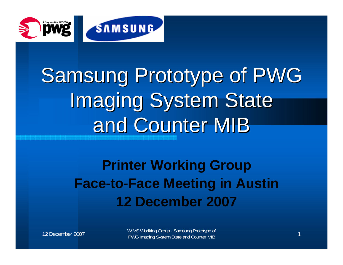

## Samsung Prototype of PWG **Imaging System State** and Counter MIB

## **Printer Working Group Face-to-Face Meeting in Austin 12 December 2007**

12 December 2007

WIMS Woriking Group - Samsung Prototype of<br>PWG Imaging System State and Counter MIB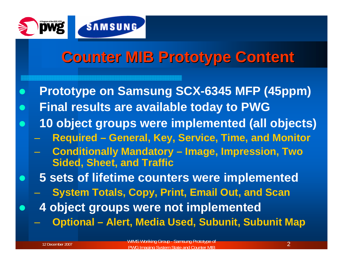

## **Counter MIB Prototype Content**

- $\bullet$  **Prototype on Samsung SCX-6345 MFP (45ppm)**  $\bullet$ **Final results are available today to PWG**
- $\bullet$  **10 object groups were implemented (all objects)**
	- –**Required – General, Key, Service, Time, and Monitor**
	- **Conditionally Mandatory – Image, Impression, Two Sided, Sheet, and Traffic**
	- **5 sets of lifetime counters were implemented**
		- **System Totals, Copy, Print, Email Out, and Scan**
	- **4 object groups were not implemented**
		- **Optional – Alert, Media Used, Subunit, Subunit Map**

 $\bullet$ 

 $\bullet$